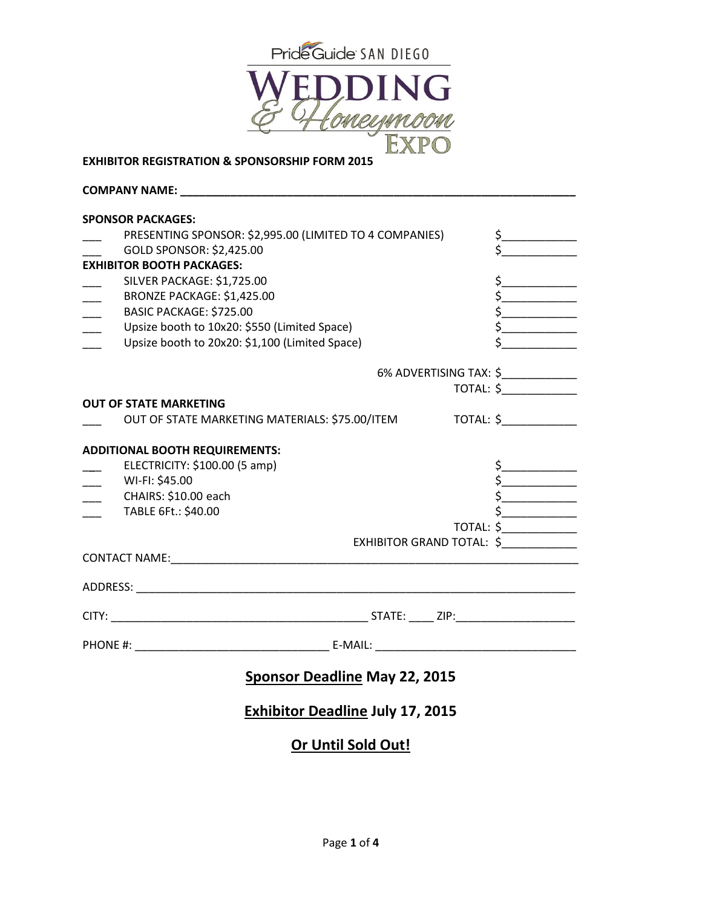



#### **EXHIBITOR REGISTRATION & SPONSORSHIP FORM 2015**

**COMPANY NAME: \_\_\_\_\_\_\_\_\_\_\_\_\_\_\_\_\_\_\_\_\_\_\_\_\_\_\_\_\_\_\_\_\_\_\_\_\_\_\_\_\_\_\_\_\_\_\_\_\_\_\_\_\_\_\_\_\_\_\_\_\_\_\_**

| <b>SPONSOR PACKAGES:</b>                                              |                         |                                     |
|-----------------------------------------------------------------------|-------------------------|-------------------------------------|
| PRESENTING SPONSOR: \$2,995.00 (LIMITED TO 4 COMPANIES)               |                         | $\frac{1}{2}$                       |
| GOLD SPONSOR: \$2,425.00                                              |                         |                                     |
| <b>EXHIBITOR BOOTH PACKAGES:</b>                                      |                         |                                     |
| SILVER PACKAGE: \$1,725.00                                            |                         | $\begin{array}{c}\n5\n\end{array}$  |
| BRONZE PACKAGE: \$1,425.00                                            |                         |                                     |
| BASIC PACKAGE: \$725.00                                               |                         | $\frac{1}{2}$                       |
| Upsize booth to 10x20: \$550 (Limited Space)                          |                         |                                     |
| Upsize booth to 20x20: \$1,100 (Limited Space)                        | <u> 1990 - Jan Jawa</u> |                                     |
|                                                                       |                         |                                     |
|                                                                       |                         | 6% ADVERTISING TAX: \$_____________ |
|                                                                       |                         | TOTAL: \$_____________              |
| <b>OUT OF STATE MARKETING</b>                                         |                         |                                     |
| OUT OF STATE MARKETING MATERIALS: \$75.00/ITEM TOTAL: \$_____________ |                         |                                     |
|                                                                       |                         |                                     |
| <b>ADDITIONAL BOOTH REQUIREMENTS:</b>                                 |                         |                                     |
| ELECTRICITY: \$100.00 (5 amp)                                         |                         |                                     |
| WI-FI: \$45.00                                                        |                         | $\begin{array}{c}\n5\n\end{array}$  |
| CHAIRS: \$10.00 each                                                  |                         | $\frac{1}{2}$                       |
| TABLE 6Ft.: \$40.00                                                   |                         | $\frac{1}{2}$                       |
|                                                                       |                         | TOTAL: \$_____________              |
|                                                                       |                         | EXHIBITOR GRAND TOTAL: \$           |
|                                                                       |                         |                                     |
|                                                                       |                         |                                     |
|                                                                       |                         |                                     |
|                                                                       |                         |                                     |
|                                                                       |                         |                                     |
| <b>Sponsor Deadline May 22, 2015</b>                                  |                         |                                     |
| <b>Exhibitor Deadline July 17, 2015</b>                               |                         |                                     |

# **Or Until Sold Out!**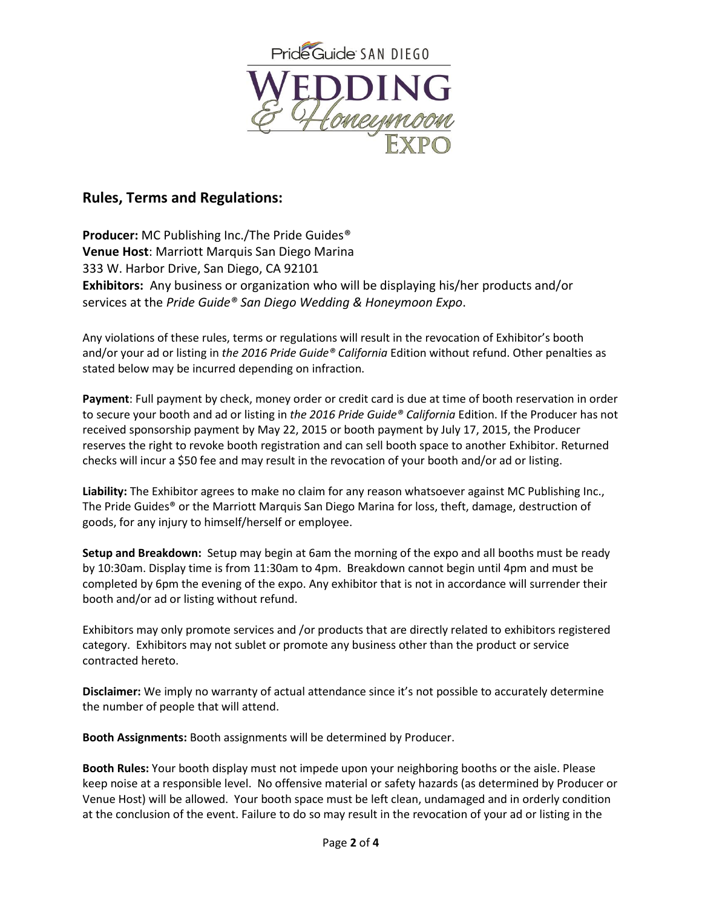

# **Rules, Terms and Regulations:**

**Producer:** MC Publishing Inc./The Pride Guides® **Venue Host**: Marriott Marquis San Diego Marina 333 W. Harbor Drive, San Diego, CA 92101 **Exhibitors:** Any business or organization who will be displaying his/her products and/or services at the *Pride Guide® San Diego Wedding & Honeymoon Expo*.

Any violations of these rules, terms or regulations will result in the revocation of Exhibitor's booth and/or your ad or listing in *the 2016 Pride Guide® California* Edition without refund. Other penalties as stated below may be incurred depending on infraction.

**Payment**: Full payment by check, money order or credit card is due at time of booth reservation in order to secure your booth and ad or listing in *the 2016 Pride Guide® California* Edition. If the Producer has not received sponsorship payment by May 22, 2015 or booth payment by July 17, 2015, the Producer reserves the right to revoke booth registration and can sell booth space to another Exhibitor. Returned checks will incur a \$50 fee and may result in the revocation of your booth and/or ad or listing.

**Liability:** The Exhibitor agrees to make no claim for any reason whatsoever against MC Publishing Inc., The Pride Guides® or the Marriott Marquis San Diego Marina for loss, theft, damage, destruction of goods, for any injury to himself/herself or employee.

**Setup and Breakdown:** Setup may begin at 6am the morning of the expo and all booths must be ready by 10:30am. Display time is from 11:30am to 4pm. Breakdown cannot begin until 4pm and must be completed by 6pm the evening of the expo. Any exhibitor that is not in accordance will surrender their booth and/or ad or listing without refund.

Exhibitors may only promote services and /or products that are directly related to exhibitors registered category. Exhibitors may not sublet or promote any business other than the product or service contracted hereto.

**Disclaimer:** We imply no warranty of actual attendance since it's not possible to accurately determine the number of people that will attend.

**Booth Assignments:** Booth assignments will be determined by Producer.

**Booth Rules:** Your booth display must not impede upon your neighboring booths or the aisle. Please keep noise at a responsible level. No offensive material or safety hazards (as determined by Producer or Venue Host) will be allowed. Your booth space must be left clean, undamaged and in orderly condition at the conclusion of the event. Failure to do so may result in the revocation of your ad or listing in the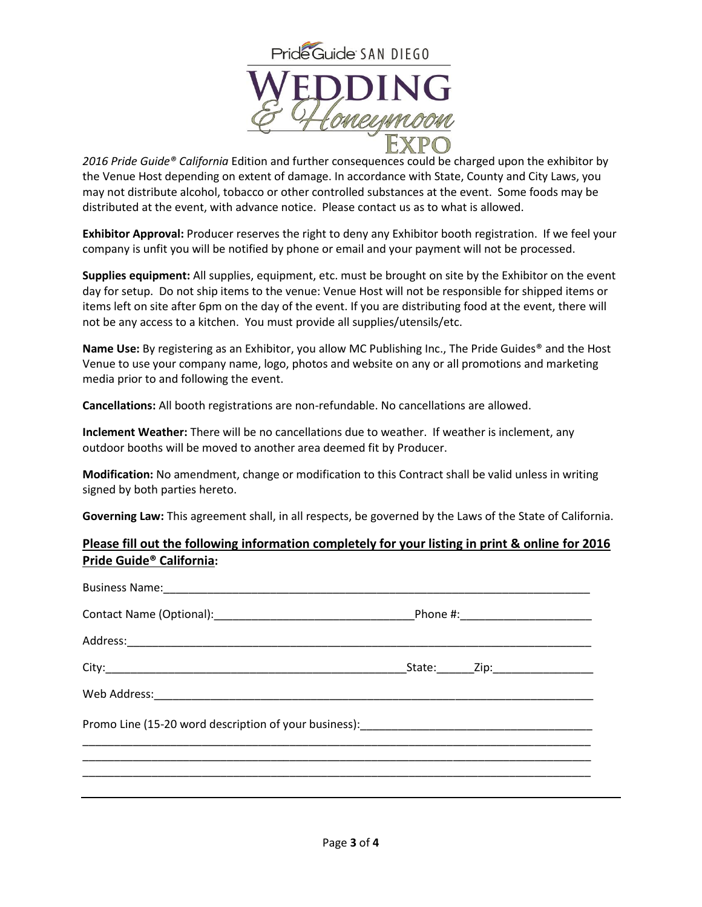

*2016 Pride Guide® California* Edition and further consequences could be charged upon the exhibitor by the Venue Host depending on extent of damage. In accordance with State, County and City Laws, you may not distribute alcohol, tobacco or other controlled substances at the event. Some foods may be distributed at the event, with advance notice. Please contact us as to what is allowed.

**Exhibitor Approval:** Producer reserves the right to deny any Exhibitor booth registration. If we feel your company is unfit you will be notified by phone or email and your payment will not be processed.

**Supplies equipment:** All supplies, equipment, etc. must be brought on site by the Exhibitor on the event day for setup. Do not ship items to the venue: Venue Host will not be responsible for shipped items or items left on site after 6pm on the day of the event. If you are distributing food at the event, there will not be any access to a kitchen. You must provide all supplies/utensils/etc.

**Name Use:** By registering as an Exhibitor, you allow MC Publishing Inc., The Pride Guides® and the Host Venue to use your company name, logo, photos and website on any or all promotions and marketing media prior to and following the event.

**Cancellations:** All booth registrations are non-refundable. No cancellations are allowed.

**Inclement Weather:** There will be no cancellations due to weather. If weather is inclement, any outdoor booths will be moved to another area deemed fit by Producer.

**Modification:** No amendment, change or modification to this Contract shall be valid unless in writing signed by both parties hereto.

**Governing Law:** This agreement shall, in all respects, be governed by the Laws of the State of California.

### **Please fill out the following information completely for your listing in print & online for 2016 Pride Guide® California:**

|  | _State:_________Zip:______________________ |  |
|--|--------------------------------------------|--|
|  |                                            |  |
|  |                                            |  |
|  |                                            |  |
|  |                                            |  |